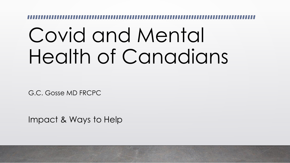# Covid and Mental Health of Canadians

G.C. Gosse MD FRCPC

Impact & Ways to Help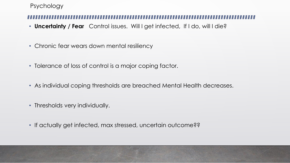### Psychology

- **Uncertainty / Fear** Control issues. Will I get infected, If I do, will I die?
- Chronic fear wears down mental resiliency
- Tolerance of loss of control is a major coping factor.
- As individual coping thresholds are breached Mental Health decreases.
- Thresholds very individually.
- If actually get infected, max stressed, uncertain outcome??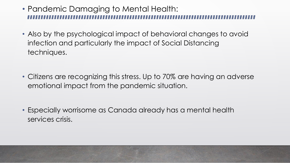- Pandemic Damaging to Mental Health:
- Also by the psychological impact of behavioral changes to avoid infection and particularly the impact of Social Distancing techniques.
- Citizens are recognizing this stress. Up to 70% are having an adverse emotional impact from the pandemic situation.
- Especially worrisome as Canada already has a mental health services crisis.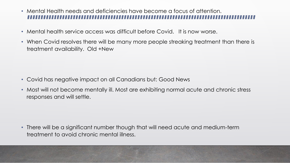- Mental Health needs and deficiencies have become a focus of attention.
- Mental health service access was difficult before Covid. It is now worse.
- When Covid resolves there will be many more people streaking treatment than there is treatment availability. Old +New

- Covid has negative impact on all Canadians but: Good News
- Most will not become mentally ill. Most are exhibiting normal acute and chronic stress responses and will settle.

• There will be a significant number though that will need acute and medium-term treatment to avoid chronic mental illness.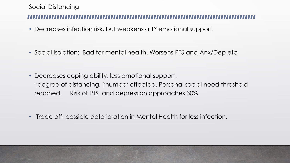### Social Distancing

- Decreases infection risk, but weakens a 1° emotional support.
- Social Isolation: Bad for mental health. Worsens PTS and Anx/Dep etc

• Decreases coping ability, less emotional support. ↑degree of distancing, ↑number effected, Personal social need threshold reached. Risk of PTS and depression approaches 30%.

• Trade off: possible deterioration in Mental Health for less infection.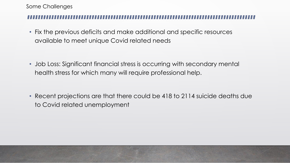### Some Challenges

• Fix the previous deficits and make additional and specific resources available to meet unique Covid related needs

• Job Loss: Significant financial stress is occurring with secondary mental health stress for which many will require professional help.

• Recent projections are that there could be 418 to 2114 suicide deaths due to Covid related unemployment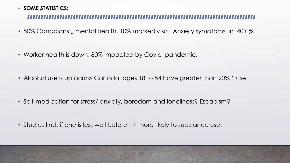### • **SOME STATISTICS:**

- 50% Canadians ↓ mental health, 10% markedly so. Anxiety symptoms in 40+ %.
- Worker health is down, 80% impacted by Covid pandemic.
- Alcohol use is up across Canada, ages 18 to 54 have greater than 20% ↑ use.
- Self-medication for stress/ anxiety, boredom and loneliness? Escapism?
- Studies find, if one is less well before **⇨** more likely to substance use.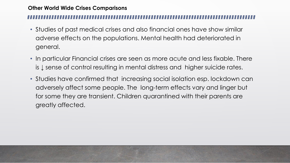### **Other World Wide Crises Comparisons**

- Studies of past medical crises and also financial ones have show similar adverse effects on the populations. Mental health had deteriorated in general.
- In particular Financial crises are seen as more acute and less fixable. There is ↓ sense of control resulting in mental distress and higher suicide rates.
- Studies have confirmed that increasing social isolation esp. lockdown can adversely affect some people. The long-term effects vary and linger but for some they are transient. Children quarantined with their parents are greatly affected.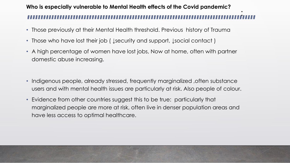# .<br>.\_ **Who is especially vulnerable to Mental Health effects of the Covid pandemic?**

- Those previously at their Mental Health threshold. Previous history of Trauma
- Those who have lost their job ( ↓security and support, ↓social contact )
- A high percentage of women have lost jobs, Now at home, often with partner domestic abuse increasing.
- Indigenous people, already stressed, frequently marginalized ,often substance users and with mental health issues are particularly at risk. Also people of colour.
- Evidence from other countries suggest this to be true: particularly that marginalized people are more at risk, often live in denser population areas and have less access to optimal healthcare.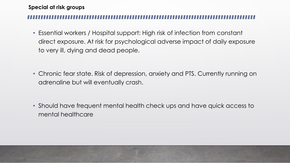### **Special at risk groups**

• Essential workers / Hospital support: High risk of infection from constant direct exposure. At risk for psychological adverse impact of daily exposure to very ill, dying and dead people.

• Chronic fear state. Risk of depression, anxiety and PTS. Currently running on adrenaline but will eventually crash.

• Should have frequent mental health check ups and have quick access to mental healthcare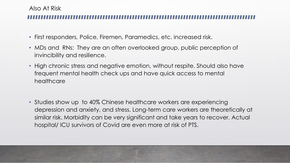### Also At Risk

- First responders, Police, Firemen, Paramedics, etc. increased risk.
- MDs and RNs: They are an often overlooked group, public perception of invincibility and resilience.
- High chronic stress and negative emotion, without respite. Should also have frequent mental health check ups and have quick access to mental healthcare
- Studies show up to 40% Chinese healthcare workers are experiencing depression and anxiety, and stress. Long-term care workers are theoretically at similar risk. Morbidity can be very significant and take years to recover. Actual hospital/ ICU survivors of Covid are even more at risk of PTS.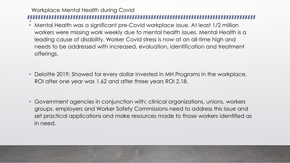# Workplace Mental Health during Covid !<br>.

- Mental Health was a significant pre-Covid workplace issue. At least 1/2 million workers were missing work weekly due to mental health issues. Mental Health is a leading cause of disability. Worker Covid stress is now at an all-time high and needs to be addressed with increased, evaluation, identification and treatment offerings.
- Deloitte 2019: Showed for every dollar invested in MH Programs in the workplace, ROI after one year was 1.62 and after three years ROI 2.18.
- Government agencies in conjunction with: clinical organizations, unions, workers groups, employers and Worker Safety Commissions need to address this issue and set practical applications and make resources made to those workers identified as in need.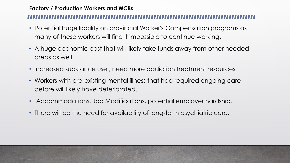### **Factory / Production Workers and WCBs**

- Potential huge liability on provincial Worker's Compensation programs as many of these workers will find it impossible to continue working.
- A huge economic cost that will likely take funds away from other needed areas as well.
- Increased substance use , need more addiction treatment resources
- Workers with pre-existing mental illness that had required ongoing care before will likely have deteriorated.
- Accommodations, Job Modifications, potential employer hardship.
- There will be the need for availability of long-term psychiatric care.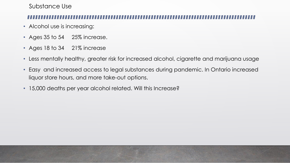Substance Use

- Alcohol use is increasing:
- Ages 35 to 54 25% increase.
- Ages 18 to 34 21% increase
- Less mentally healthy, greater risk for increased alcohol, cigarette and marijuana usage
- Easy and increased access to legal substances during pandemic. In Ontario increased liquor store hours, and more take-out options.
- 15,000 deaths per year alcohol related. Will this Increase?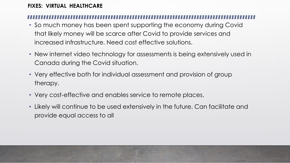### **FIXES: VIRTUAL HEALTHCARE**

- So much money has been spent supporting the economy during Covid that likely money will be scarce after Covid to provide services and increased infrastructure. Need cost effective solutions.
- New internet video technology for assessments is being extensively used in Canada during the Covid situation.
- Very effective both for individual assessment and provision of group therapy.
- Very cost-effective and enables service to remote places.
- Likely will continue to be used extensively in the future. Can facilitate and provide equal access to all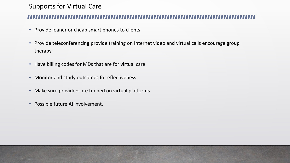## Supports for Virtual Care

- Provide loaner or cheap smart phones to clients
- Provide teleconferencing provide training on Internet video and virtual calls encourage group therapy
- Have billing codes for MDs that are for virtual care
- Monitor and study outcomes for effectiveness
- Make sure providers are trained on virtual platforms
- Possible future AI involvement.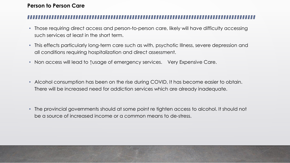### **Person to Person Care**

- Those requiring direct access and person-to-person care, likely will have difficulty accessing such services at least in the short term.
- This effects particularly long-term care such as with, psychotic Illness, severe depression and all conditions requiring hospitalization and direct assessment.
- Non access will lead to ↑usage of emergency services. Very Expensive Care.
- Alcohol consumption has been on the rise during COVID, It has become easier to obtain. There will be increased need for addiction services which are already inadequate.
- The provincial governments should at some point re tighten access to alcohol. It should not be a source of increased income or a common means to de-stress.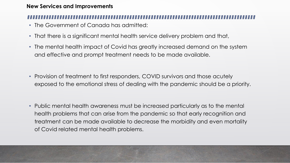### **New Services and Improvements**

- The Government of Canada has admitted:
- That there is a significant mental health service delivery problem and that,
- The mental health impact of Covid has greatly increased demand on the system and effective and prompt treatment needs to be made available.
- Provision of treatment to first responders, COVID survivors and those acutely exposed to the emotional stress of dealing with the pandemic should be a priority.
- Public mental health awareness must be increased particularly as to the mental health problems that can arise from the pandemic so that early recognition and treatment can be made available to decrease the morbidity and even mortality of Covid related mental health problems.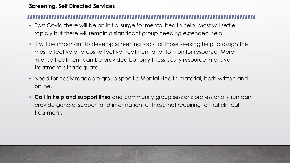### **Screening, Self Directed Services**

- Post Covid there will be an initial surge for mental health help. Most will settle rapidly but there will remain a significant group needing extended help.
- It will be important to develop screening tools for those seeking help to assign the most effective and cost-effective treatment and to monitor response. More intense treatment can be provided but only If less costly resource intensive treatment is inadequate.
- Need for easily readable group specific Mental Health material, both written and online.
- **Call in help and support lines** and community group sessions professionally run can provide general support and information for those not requiring formal clinical treatment.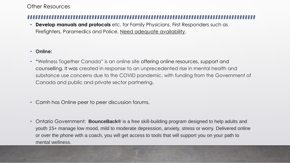### Other Resources

**Develop manuals and protocols** etc. for Family Physicians, First Responders such as Firefighters, Paramedics and Police. Need adequate availability.

### • **Online:**

- **"**Wellness Together Canada" is an online site offering online resources, support and counselling. It was created in response to an unprecedented rise in mental health and substance use concerns due to the COVID pandemic, with funding from the Government of Canada and public and private sector partnering.
- Camh has Online peer to peer discussion forums.
- Ontario Government: **BounceBack®** is a free skill-building program designed to help adults and youth 15+ manage low mood, mild to moderate depression, anxiety, stress or worry. Delivered online or over the phone with a coach, you will get access to tools that will support you on your path to mental wellness.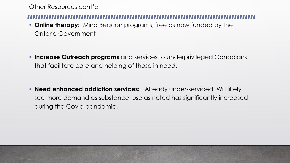Other Resources cont'd

• **Online therapy:** Mind Beacon programs, free as now funded by the Ontario Government

• **Increase Outreach programs** and services to underprivileged Canadians that facilitate care and helping of those in need.

• **Need enhanced addiction services:** Already under-serviced. Will likely see more demand as substance use as noted has significantly increased during the Covid pandemic.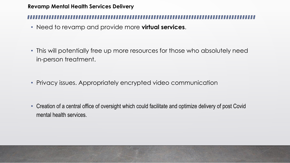### **Revamp Mental Health Services Delivery**

• Need to revamp and provide more **virtual services**.

• This will potentially free up more resources for those who absolutely need in-person treatment.

- Privacy issues. Appropriately encrypted video communication
- Creation of a central office of oversight which could facilitate and optimize delivery of post Covid mental health services.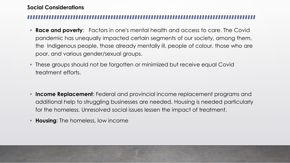### **Social Considerations**

- **Race and poverty**: Factors in one's mental health and access to care. The Covid pandemic has unequally impacted certain segments of our society, among them, the Indigenous people, those already mentally ill, people of colour, those who are poor, and various gender/sexual groups.
- These groups should not be forgotten or minimized but receive equal Covid treatment efforts.
- **Income Replacement**: Federal and provincial income replacement programs and additional help to struggling businesses are needed. Housing is needed particularly for the homeless. Unresolved social issues lessen the impact of treatment.
- **Housing**: The homeless, low income